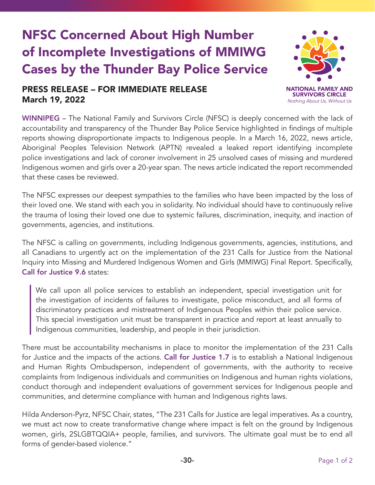## NFSC Concerned About High Number of Incomplete Investigations of MMIWG Cases by the Thunder Bay Police Service

## PRESS RELEASE – FOR IMMEDIATE RELEASE March 19, 2022



WINNIPEG - The National Family and Survivors Circle (NFSC) is deeply concerned with the lack of accountability and transparency of the Thunder Bay Police Service highlighted in findings of multiple reports showing disproportionate impacts to Indigenous people. In a March 16, 2022, news article, Aboriginal Peoples Television Network (APTN) revealed a leaked report identifying incomplete police investigations and lack of coroner involvement in 25 unsolved cases of missing and murdered Indigenous women and girls over a 20-year span. The news article indicated the report recommended that these cases be reviewed.

The NFSC expresses our deepest sympathies to the families who have been impacted by the loss of their loved one. We stand with each you in solidarity. No individual should have to continuously relive the trauma of losing their loved one due to systemic failures, discrimination, inequity, and inaction of governments, agencies, and institutions.

The NFSC is calling on governments, including Indigenous governments, agencies, institutions, and all Canadians to urgently act on the implementation of the 231 Calls for Justice from the National Inquiry into Missing and Murdered Indigenous Women and Girls (MMIWG) Final Report. Specifically, Call for Justice 9.6 states:

We call upon all police services to establish an independent, special investigation unit for the investigation of incidents of failures to investigate, police misconduct, and all forms of discriminatory practices and mistreatment of Indigenous Peoples within their police service. This special investigation unit must be transparent in practice and report at least annually to Indigenous communities, leadership, and people in their jurisdiction.

There must be accountability mechanisms in place to monitor the implementation of the 231 Calls for Justice and the impacts of the actions. Call for Justice 1.7 is to establish a National Indigenous and Human Rights Ombudsperson, independent of governments, with the authority to receive complaints from Indigenous individuals and communities on Indigenous and human rights violations, conduct thorough and independent evaluations of government services for Indigenous people and communities, and determine compliance with human and Indigenous rights laws.

Hilda Anderson-Pyrz, NFSC Chair, states, "The 231 Calls for Justice are legal imperatives. As a country, we must act now to create transformative change where impact is felt on the ground by Indigenous women, girls, 2SLGBTQQIA+ people, families, and survivors. The ultimate goal must be to end all forms of gender-based violence."